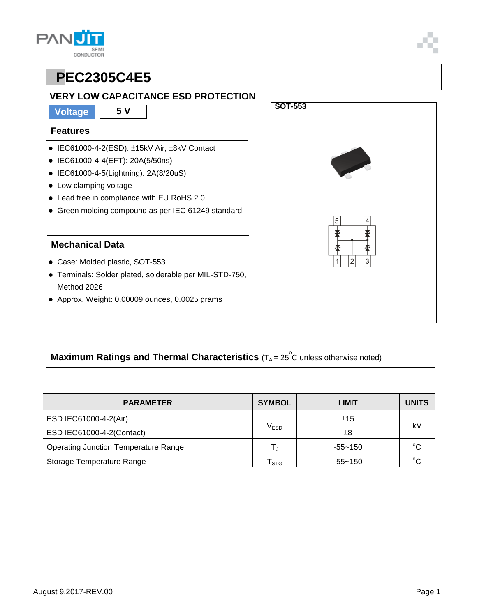### **VERY LOW CAPACITANCE ESD PROTECTION**

**Voltage 5 V**

#### **Features**

- IEC61000-4-2(ESD): ±15kV Air, ±8kV Contact
- IEC61000-4-4(EFT): 20A(5/50ns)
- IEC61000-4-5(Lightning): 2A(8/20uS)
- Low clamping voltage
- Lead free in compliance with EU RoHS 2.0
- Green molding compound as per IEC 61249 standard

#### **Mechanical Data**

- Case: Molded plastic, SOT-553
- Terminals: Solder plated, solderable per MIL-STD-750, Method 2026
- Approx. Weight: 0.00009 ounces, 0.0025 grams



## **Maximum Ratings and Thermal Characteristics** (T<sub>A</sub> = 25<sup>°</sup>C unless otherwise noted)

| <b>PARAMETER</b>                            | <b>SYMBOL</b>               | LIMIT       | <b>UNITS</b> |  |
|---------------------------------------------|-----------------------------|-------------|--------------|--|
| ESD IEC61000-4-2(Air)                       |                             | ±15         | kV           |  |
| ESD IEC61000-4-2(Contact)                   | $\rm V_{ESD}$               | ±8          |              |  |
| <b>Operating Junction Temperature Range</b> | Т.,                         | $-55 - 150$ | $^{\circ}C$  |  |
| Storage Temperature Range                   | $\mathsf{T}_{\texttt{STG}}$ | -55~150     | $\sim$       |  |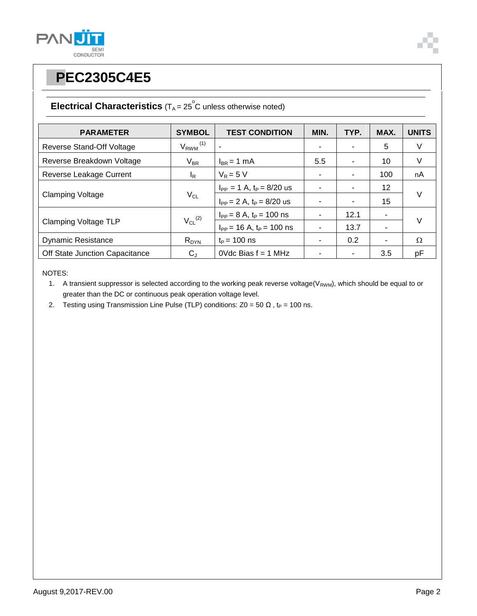



### **Electrical Characteristics**  $(T_A = 25^\circ \text{C}$  unless otherwise noted)

| <b>PARAMETER</b>               | <b>SYMBOL</b>            | <b>TEST CONDITION</b>            | MIN. | TYP. | MAX. | <b>UNITS</b> |  |
|--------------------------------|--------------------------|----------------------------------|------|------|------|--------------|--|
| Reverse Stand-Off Voltage      | $V_{RWM}$ <sup>(1)</sup> |                                  |      |      | 5    | V            |  |
| Reverse Breakdown Voltage      | $V_{BR}$                 | $I_{BR}$ = 1 mA                  | 5.5  |      | 10   | V            |  |
| Reverse Leakage Current        | l <sub>R</sub>           | $V_R = 5 V$                      |      |      | 100  | nA           |  |
| <b>Clamping Voltage</b>        | $V_{CL}$                 | $I_{PP} = 1 A$ , $t_P = 8/20$ us |      |      | 12   |              |  |
|                                |                          | $I_{PP} = 2 A$ , $t_P = 8/20$ us |      |      | 15   | $\vee$       |  |
| <b>Clamping Voltage TLP</b>    | $V_{CL}$ <sup>(2)</sup>  | $I_{PP} = 8 A$ , $t_P = 100$ ns  |      | 12.1 | ۰    | $\vee$       |  |
|                                |                          | $I_{PP}$ = 16 A, $t_P$ = 100 ns  |      | 13.7 | ۰    |              |  |
| <b>Dynamic Resistance</b>      | $R_{DYN}$                | $t_{\rm P}$ = 100 ns             |      | 0.2  | ۰    | $\Omega$     |  |
| Off State Junction Capacitance | $C_{J}$                  | $0$ Vdc Bias $f = 1$ MHz         |      |      | 3.5  | pF           |  |

NOTES:

1. A transient suppressor is selected according to the working peak reverse voltage( $V_{RWM}$ ), which should be equal to or greater than the DC or continuous peak operation voltage level.

2. Testing using Transmission Line Pulse (TLP) conditions:  $Z0 = 50 \Omega$ , t<sub>P</sub> = 100 ns.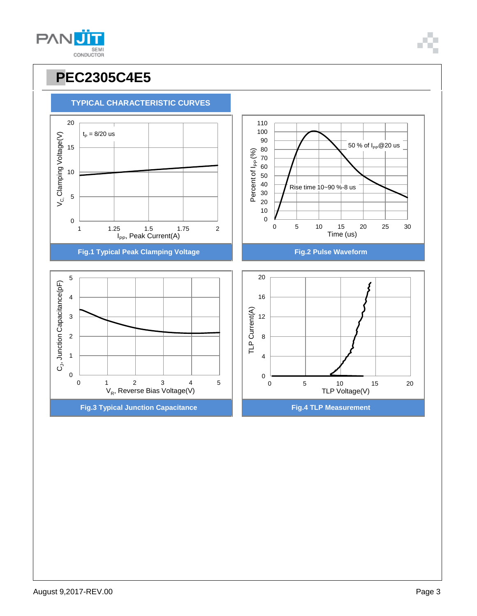





**TYPICAL CHARACTERISTIC CURVES**

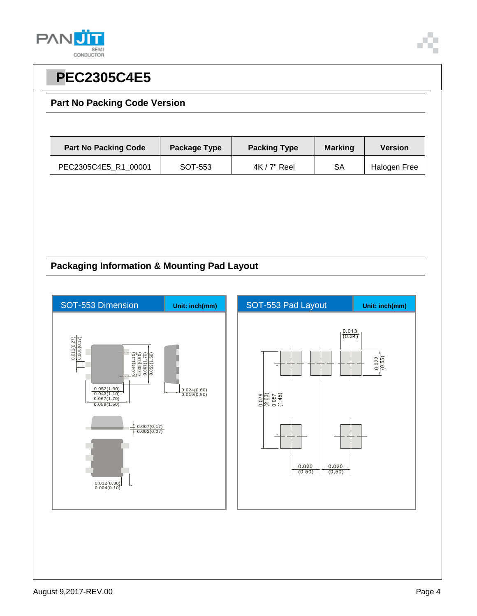



#### **Part No Packing Code Version**

| <b>Part No Packing Code</b> | Package Type | <b>Packing Type</b> | <b>Marking</b> | <b>Version</b> |
|-----------------------------|--------------|---------------------|----------------|----------------|
| PEC2305C4E5_R1_00001        | SOT-553      | $4K/7"$ Reel        | SA             | Halogen Free   |

#### **Packaging Information & Mounting Pad Layout**